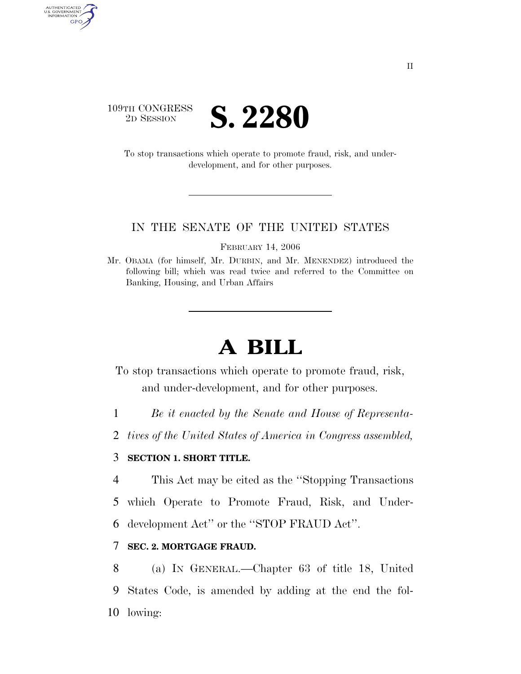

AUTHENTICATED<br>U.S. GOVERNMENT<br>INFORMATION GPO

> To stop transactions which operate to promote fraud, risk, and underdevelopment, and for other purposes.

#### IN THE SENATE OF THE UNITED STATES

FEBRUARY 14, 2006

# **A BILL**

To stop transactions which operate to promote fraud, risk, and under-development, and for other purposes.

1 *Be it enacted by the Senate and House of Representa-*

2 *tives of the United States of America in Congress assembled,* 

# 3 **SECTION 1. SHORT TITLE.**

4 This Act may be cited as the ''Stopping Transactions

5 which Operate to Promote Fraud, Risk, and Under-

6 development Act'' or the ''STOP FRAUD Act''.

### 7 **SEC. 2. MORTGAGE FRAUD.**

8 (a) IN GENERAL.—Chapter 63 of title 18, United 9 States Code, is amended by adding at the end the fol-10 lowing:

Mr. OBAMA (for himself, Mr. DURBIN, and Mr. MENENDEZ) introduced the following bill; which was read twice and referred to the Committee on Banking, Housing, and Urban Affairs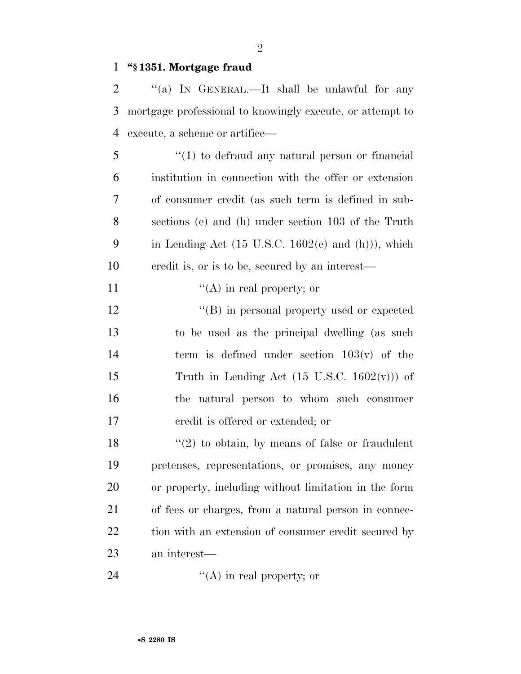## **''§ 1351. Mortgage fraud**

 ''(a) IN GENERAL.—It shall be unlawful for any mortgage professional to knowingly execute, or attempt to execute, a scheme or artifice—

 ''(1) to defraud any natural person or financial institution in connection with the offer or extension of consumer credit (as such term is defined in sub- sections (e) and (h) under section 103 of the Truth 9 in Lending Act (15 U.S.C. 1602 $(e)$  and  $(h)$ )), which credit is, or is to be, secured by an interest—

11  $"({\rm A})$  in real property; or

 $\langle (B) \rangle$  in personal property used or expected to be used as the principal dwelling (as such 14 term is defined under section  $103(v)$  of the 15 Truth in Lending Act  $(15 \text{ U.S.C. } 1602(\text{v}))$  of the natural person to whom such consumer credit is offered or extended; or

 $\frac{18}{20}$  to obtain, by means of false or fraudulent pretenses, representations, or promises, any money or property, including without limitation in the form of fees or charges, from a natural person in connec-22 tion with an extension of consumer credit secured by an interest—

24  $\langle (A) \rangle$  in real property; or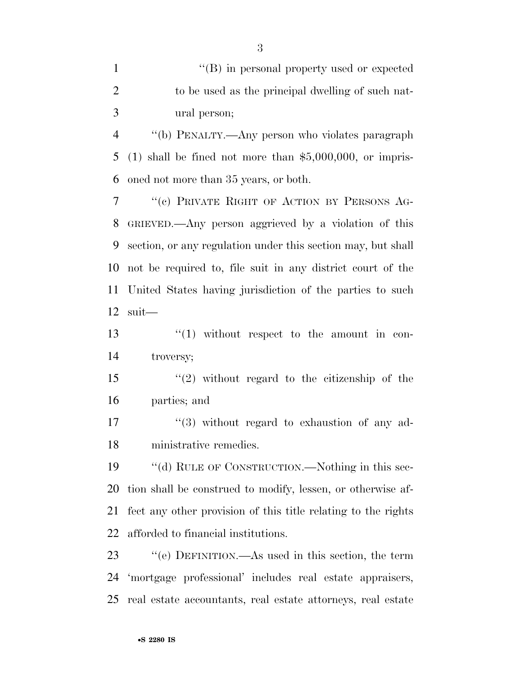$\langle \text{``(B)} \rangle$  in personal property used or expected to be used as the principal dwelling of such nat- ural person; ''(b) PENALTY.—Any person who violates paragraph (1) shall be fined not more than \$5,000,000, or impris- oned not more than 35 years, or both. ''(c) PRIVATE RIGHT OF ACTION BY PERSONS AG- GRIEVED.—Any person aggrieved by a violation of this section, or any regulation under this section may, but shall not be required to, file suit in any district court of the United States having jurisdiction of the parties to such suit—  $\frac{13}{12}$   $\frac{13}{12}$  without respect to the amount in con- troversy; ''(2) without regard to the citizenship of the parties; and 17 ''(3) without regard to exhaustion of any ad- ministrative remedies. 19 ""(d) RULE OF CONSTRUCTION.—Nothing in this sec- tion shall be construed to modify, lessen, or otherwise af- fect any other provision of this title relating to the rights afforded to financial institutions.

 ''(e) DEFINITION.—As used in this section, the term 'mortgage professional' includes real estate appraisers, real estate accountants, real estate attorneys, real estate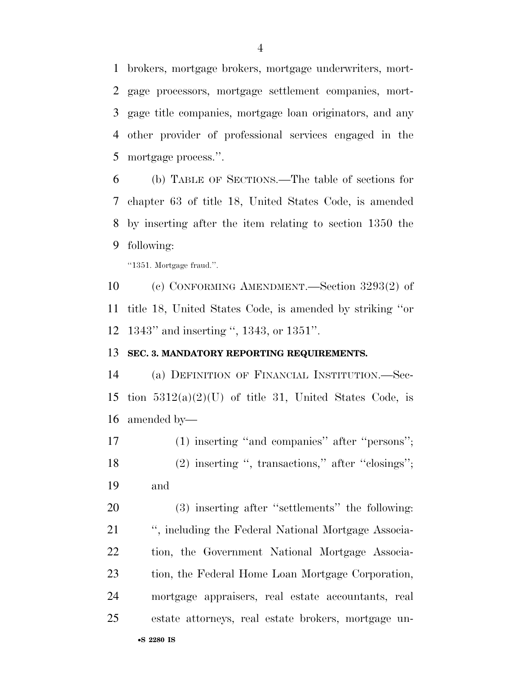brokers, mortgage brokers, mortgage underwriters, mort- gage processors, mortgage settlement companies, mort- gage title companies, mortgage loan originators, and any other provider of professional services engaged in the mortgage process.''.

 (b) TABLE OF SECTIONS.—The table of sections for chapter 63 of title 18, United States Code, is amended by inserting after the item relating to section 1350 the following:

''1351. Mortgage fraud.''.

 (c) CONFORMING AMENDMENT.—Section 3293(2) of title 18, United States Code, is amended by striking ''or 1343'' and inserting '', 1343, or 1351''.

#### **SEC. 3. MANDATORY REPORTING REQUIREMENTS.**

 (a) DEFINITION OF FINANCIAL INSTITUTION.—Sec-15 tion  $5312(a)(2)(U)$  of title 31, United States Code, is amended by—

 (1) inserting ''and companies'' after ''persons''; (2) inserting '', transactions,'' after ''closings''; and

 (3) inserting after ''settlements'' the following: '', including the Federal National Mortgage Associa- tion, the Government National Mortgage Associa- tion, the Federal Home Loan Mortgage Corporation, mortgage appraisers, real estate accountants, real estate attorneys, real estate brokers, mortgage un-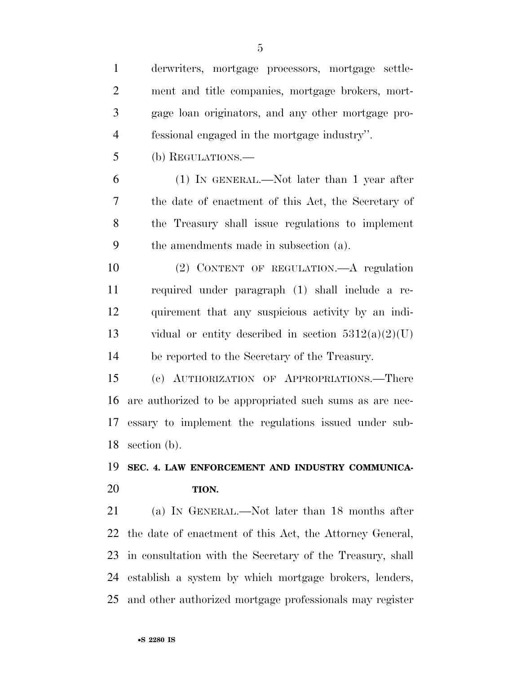derwriters, mortgage processors, mortgage settle- ment and title companies, mortgage brokers, mort- gage loan originators, and any other mortgage pro- fessional engaged in the mortgage industry''. (b) REGULATIONS.— (1) IN GENERAL.—Not later than 1 year after the date of enactment of this Act, the Secretary of the Treasury shall issue regulations to implement the amendments made in subsection (a). (2) CONTENT OF REGULATION.—A regulation required under paragraph (1) shall include a re- quirement that any suspicious activity by an indi-13 vidual or entity described in section  $5312(a)(2)(U)$  be reported to the Secretary of the Treasury. (c) AUTHORIZATION OF APPROPRIATIONS.—There are authorized to be appropriated such sums as are nec- essary to implement the regulations issued under sub- section (b). **SEC. 4. LAW ENFORCEMENT AND INDUSTRY COMMUNICA- TION.**  (a) IN GENERAL.—Not later than 18 months after the date of enactment of this Act, the Attorney General, in consultation with the Secretary of the Treasury, shall

and other authorized mortgage professionals may register

establish a system by which mortgage brokers, lenders,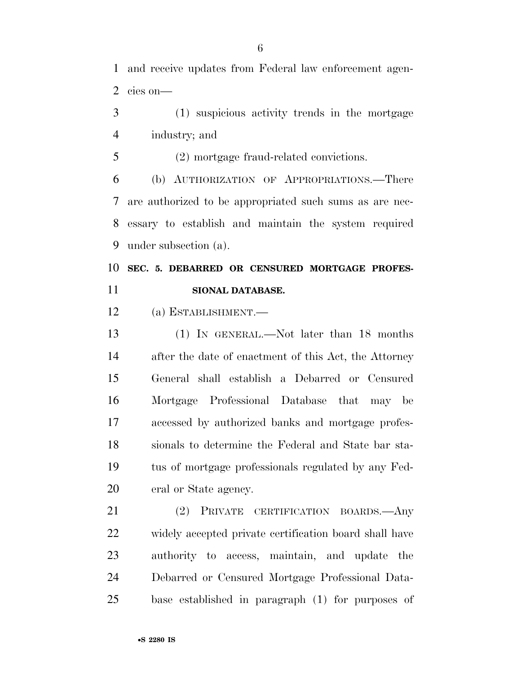and receive updates from Federal law enforcement agen-cies on—

- (1) suspicious activity trends in the mortgage industry; and
- (2) mortgage fraud-related convictions.

 (b) AUTHORIZATION OF APPROPRIATIONS.—There are authorized to be appropriated such sums as are nec- essary to establish and maintain the system required under subsection (a).

# **SEC. 5. DEBARRED OR CENSURED MORTGAGE PROFES-SIONAL DATABASE.**

(a) ESTABLISHMENT.—

 (1) IN GENERAL.—Not later than 18 months after the date of enactment of this Act, the Attorney General shall establish a Debarred or Censured Mortgage Professional Database that may be accessed by authorized banks and mortgage profes- sionals to determine the Federal and State bar sta- tus of mortgage professionals regulated by any Fed-eral or State agency.

 (2) PRIVATE CERTIFICATION BOARDS.—Any widely accepted private certification board shall have authority to access, maintain, and update the Debarred or Censured Mortgage Professional Data-base established in paragraph (1) for purposes of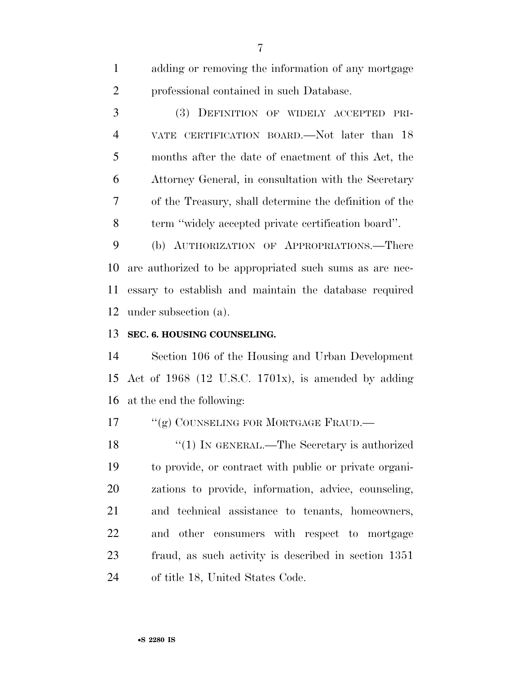adding or removing the information of any mortgage professional contained in such Database.

 (3) DEFINITION OF WIDELY ACCEPTED PRI- VATE CERTIFICATION BOARD.—Not later than 18 months after the date of enactment of this Act, the Attorney General, in consultation with the Secretary of the Treasury, shall determine the definition of the term ''widely accepted private certification board''.

 (b) AUTHORIZATION OF APPROPRIATIONS.—There are authorized to be appropriated such sums as are nec- essary to establish and maintain the database required under subsection (a).

# **SEC. 6. HOUSING COUNSELING.**

 Section 106 of the Housing and Urban Development Act of 1968 (12 U.S.C. 1701x), is amended by adding at the end the following:

17 <sup>"</sup>(g) COUNSELING FOR MORTGAGE FRAUD.—

18 "(1) IN GENERAL.—The Secretary is authorized to provide, or contract with public or private organi- zations to provide, information, advice, counseling, and technical assistance to tenants, homeowners, and other consumers with respect to mortgage fraud, as such activity is described in section 1351 of title 18, United States Code.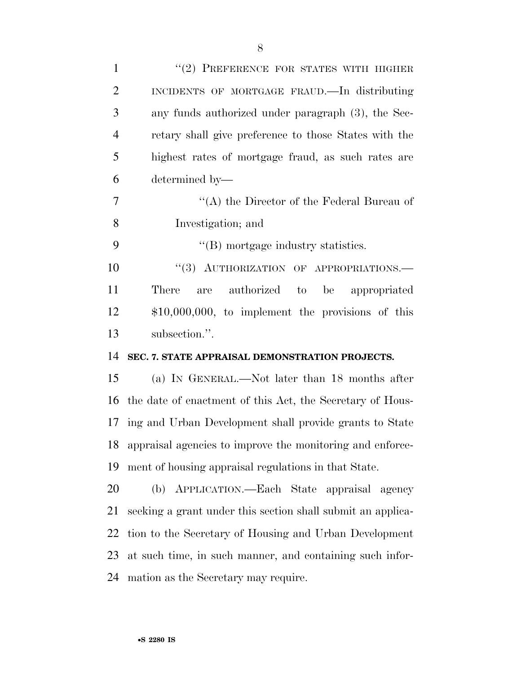| $\mathbf{1}$   | "(2) PREFERENCE FOR STATES WITH HIGHER                       |
|----------------|--------------------------------------------------------------|
| $\overline{2}$ | INCIDENTS OF MORTGAGE FRAUD.—In distributing                 |
| 3              | any funds authorized under paragraph (3), the Sec-           |
| $\overline{4}$ | retary shall give preference to those States with the        |
| 5              | highest rates of mortgage fraud, as such rates are           |
| 6              | determined by-                                               |
| 7              | "(A) the Director of the Federal Bureau of                   |
| 8              | Investigation; and                                           |
| 9              | $\lq\lq$ (B) mortgage industry statistics.                   |
| 10             | "(3) AUTHORIZATION OF APPROPRIATIONS.-                       |
| 11             | are authorized to<br>There<br>be appropriated                |
| 12             | $$10,000,000$ , to implement the provisions of this          |
|                | subsection.".                                                |
|                |                                                              |
|                | SEC. 7. STATE APPRAISAL DEMONSTRATION PROJECTS.              |
| 13<br>14<br>15 | (a) IN GENERAL.—Not later than 18 months after               |
|                | the date of enactment of this Act, the Secretary of Hous-    |
|                | ing and Urban Development shall provide grants to State      |
| 16<br>17       | 18 appraisal agencies to improve the monitoring and enforce- |
|                | ment of housing appraisal regulations in that State.         |
|                | (b) APPLICATION.—Each State appraisal agency                 |
| 19<br>20<br>21 | seeking a grant under this section shall submit an applica-  |
| 22             | tion to the Secretary of Housing and Urban Development       |
| 23             | at such time, in such manner, and containing such infor-     |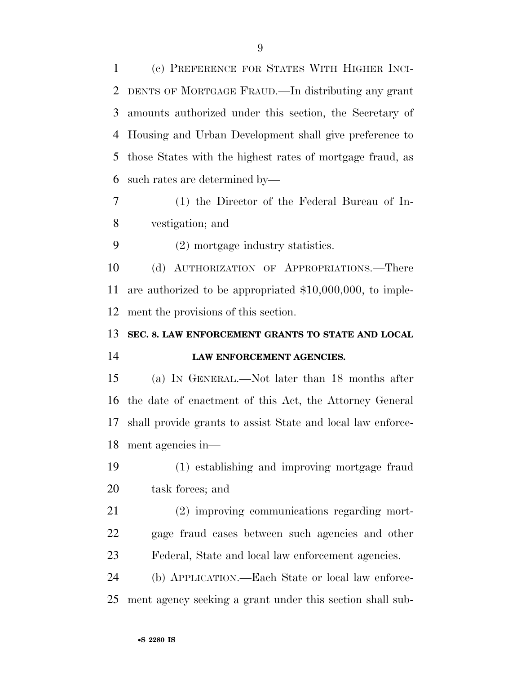(c) PREFERENCE FOR STATES WITH HIGHER INCI- DENTS OF MORTGAGE FRAUD.—In distributing any grant amounts authorized under this section, the Secretary of Housing and Urban Development shall give preference to those States with the highest rates of mortgage fraud, as such rates are determined by—

- (1) the Director of the Federal Bureau of In-vestigation; and
- (2) mortgage industry statistics.

 (d) AUTHORIZATION OF APPROPRIATIONS.—There are authorized to be appropriated \$10,000,000, to imple-ment the provisions of this section.

**SEC. 8. LAW ENFORCEMENT GRANTS TO STATE AND LOCAL** 

# **LAW ENFORCEMENT AGENCIES.**

 (a) IN GENERAL.—Not later than 18 months after the date of enactment of this Act, the Attorney General shall provide grants to assist State and local law enforce-ment agencies in—

 (1) establishing and improving mortgage fraud task forces; and

 (2) improving communications regarding mort- gage fraud cases between such agencies and other Federal, State and local law enforcement agencies.

 (b) APPLICATION.—Each State or local law enforce-ment agency seeking a grant under this section shall sub